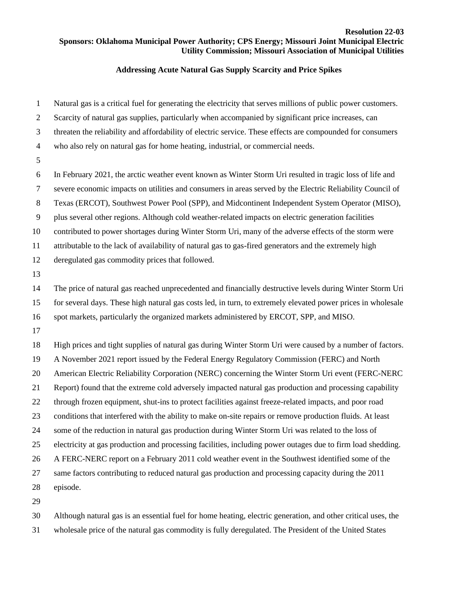## **Resolution 22-03 Sponsors: Oklahoma Municipal Power Authority; CPS Energy; Missouri Joint Municipal Electric Utility Commission; Missouri Association of Municipal Utilities**

## **Addressing Acute Natural Gas Supply Scarcity and Price Spikes**

| $\mathbf{1}$   | Natural gas is a critical fuel for generating the electricity that serves millions of public power customers. |
|----------------|---------------------------------------------------------------------------------------------------------------|
| $\overline{2}$ | Scarcity of natural gas supplies, particularly when accompanied by significant price increases, can           |
| 3              | threaten the reliability and affordability of electric service. These effects are compounded for consumers    |
| $\overline{4}$ | who also rely on natural gas for home heating, industrial, or commercial needs.                               |
| 5              |                                                                                                               |
| 6              | In February 2021, the arctic weather event known as Winter Storm Uri resulted in tragic loss of life and      |
| $\tau$         | severe economic impacts on utilities and consumers in areas served by the Electric Reliability Council of     |
| 8              | Texas (ERCOT), Southwest Power Pool (SPP), and Midcontinent Independent System Operator (MISO),               |
| 9              | plus several other regions. Although cold weather-related impacts on electric generation facilities           |
| 10             | contributed to power shortages during Winter Storm Uri, many of the adverse effects of the storm were         |
| 11             | attributable to the lack of availability of natural gas to gas-fired generators and the extremely high        |
| 12             | deregulated gas commodity prices that followed.                                                               |
| 13             |                                                                                                               |
| 14             | The price of natural gas reached unprecedented and financially destructive levels during Winter Storm Uri     |
| 15             | for several days. These high natural gas costs led, in turn, to extremely elevated power prices in wholesale  |
| 16             | spot markets, particularly the organized markets administered by ERCOT, SPP, and MISO.                        |
| 17             |                                                                                                               |
| 18             | High prices and tight supplies of natural gas during Winter Storm Uri were caused by a number of factors.     |
| 19             | A November 2021 report issued by the Federal Energy Regulatory Commission (FERC) and North                    |
| 20             | American Electric Reliability Corporation (NERC) concerning the Winter Storm Uri event (FERC-NERC             |
| 21             | Report) found that the extreme cold adversely impacted natural gas production and processing capability       |
| 22             | through frozen equipment, shut-ins to protect facilities against freeze-related impacts, and poor road        |
| 23             | conditions that interfered with the ability to make on-site repairs or remove production fluids. At least     |
| 24             | some of the reduction in natural gas production during Winter Storm Uri was related to the loss of            |
| 25             | electricity at gas production and processing facilities, including power outages due to firm load shedding.   |
| 26             | A FERC-NERC report on a February 2011 cold weather event in the Southwest identified some of the              |
| 27             | same factors contributing to reduced natural gas production and processing capacity during the 2011           |
| 28             | episode.                                                                                                      |
| 29             |                                                                                                               |

Although natural gas is an essential fuel for home heating, electric generation, and other critical uses, the

wholesale price of the natural gas commodity is fully deregulated. The President of the United States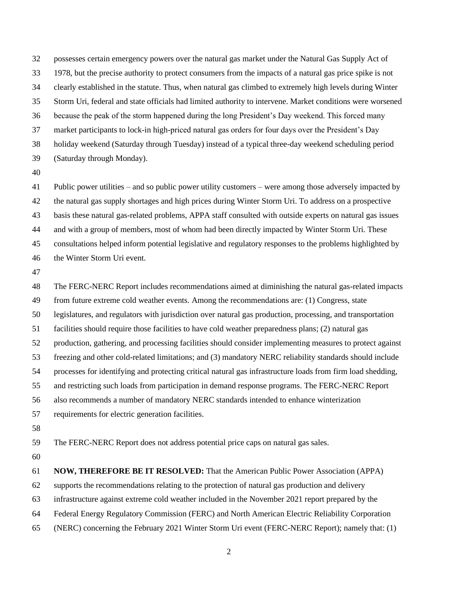possesses certain emergency powers over the natural gas market under the Natural Gas Supply Act of 1978, but the precise authority to protect consumers from the impacts of a natural gas price spike is not clearly established in the statute. Thus, when natural gas climbed to extremely high levels during Winter Storm Uri, federal and state officials had limited authority to intervene. Market conditions were worsened because the peak of the storm happened during the long President's Day weekend. This forced many market participants to lock-in high-priced natural gas orders for four days over the President's Day holiday weekend (Saturday through Tuesday) instead of a typical three-day weekend scheduling period (Saturday through Monday).

 Public power utilities – and so public power utility customers – were among those adversely impacted by the natural gas supply shortages and high prices during Winter Storm Uri. To address on a prospective basis these natural gas-related problems, APPA staff consulted with outside experts on natural gas issues and with a group of members, most of whom had been directly impacted by Winter Storm Uri. These consultations helped inform potential legislative and regulatory responses to the problems highlighted by the Winter Storm Uri event.

 The FERC-NERC Report includes recommendations aimed at diminishing the natural gas-related impacts from future extreme cold weather events. Among the recommendations are: (1) Congress, state legislatures, and regulators with jurisdiction over natural gas production, processing, and transportation facilities should require those facilities to have cold weather preparedness plans; (2) natural gas production, gathering, and processing facilities should consider implementing measures to protect against freezing and other cold-related limitations; and (3) mandatory NERC reliability standards should include processes for identifying and protecting critical natural gas infrastructure loads from firm load shedding, and restricting such loads from participation in demand response programs. The FERC-NERC Report also recommends a number of mandatory NERC standards intended to enhance winterization requirements for electric generation facilities. The FERC-NERC Report does not address potential price caps on natural gas sales. **NOW, THEREFORE BE IT RESOLVED:** That the American Public Power Association (APPA) supports the recommendations relating to the protection of natural gas production and delivery

infrastructure against extreme cold weather included in the November 2021 report prepared by the

- Federal Energy Regulatory Commission (FERC) and North American Electric Reliability Corporation
- (NERC) concerning the February 2021 Winter Storm Uri event (FERC-NERC Report); namely that: (1)